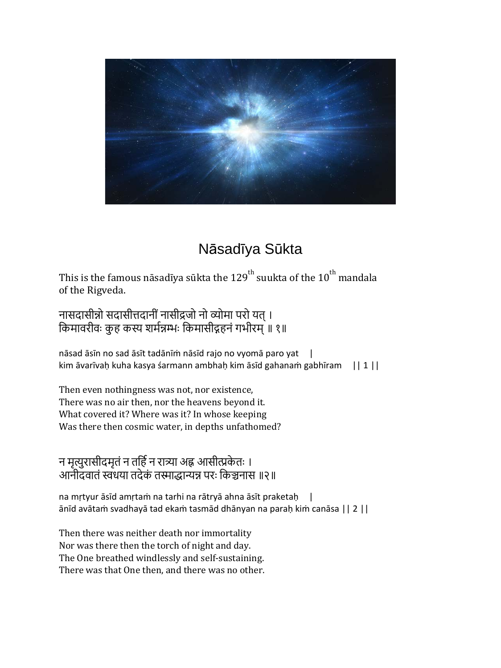

## Nāsadīya Sūkta

This is the famous nāsadīya sūkta the 129<sup>th</sup> suukta of the 10<sup>th</sup> mandala of the Rigveda.

नासदासीन्नो सदासीत्तदानीं नासीद्रजो नो व्योमा परो यत् । किमावरीवः कुह कस्य शर्मन्नम्भः किमासीद्गहनं गभीरम् ॥ १॥

nāsad āsīn no sad āsīt tadānīṁ nāsīd rajo no vyomā paro yat | kim āvarīvaḥ kuha kasya śarmann ambhaḥ kim āsīd gahanaṁ gabhīram || 1 ||

Then even nothingness was not, nor existence, There was no air then, nor the heavens beyond it. What covered it? Where was it? In whose keeping Was there then cosmic water, in depths unfathomed?

न मृत्युरासीदमृतं न तर्हि न रात्र्या अह्न आसीत्प्रकेतः । आनीदवातं स्वंधया तदेकं तस्माद्धान्यन्न परः किञ्चनास ॥२॥

na mṛtyur āsīd amṛtaṁ na tarhi na rātryā ahna āsīt praketaḥ | ānīd avātaṁ svadhayā tad ekaṁ tasmād dhānyan na paraḥ kiṁ canāsa || 2 ||

Then there was neither death nor immortality Nor was there then the torch of night and day. The One breathed windlessly and self-sustaining. There was that One then, and there was no other.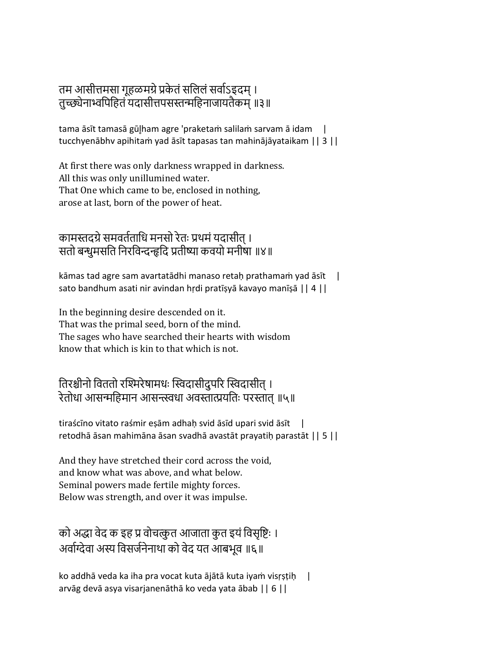## तम आसीत्तमसा गुहळमग्रे प्रकेतं सलिलं सर्वाऽइदम् । तुच्छ्येनाभ्वपिहितं यदासीत्तपसस्तन्महिनाजायतैकम् ॥३॥

tama āsīt tamasā gūļham agre 'praketam salilam sarvam ā idam | tucchyenābhv apihitaṁ yad āsīt tapasas tan mahinājāyataikam || 3 ||

At first there was only darkness wrapped in darkness. All this was only unillumined water. That One which came to be, enclosed in nothing, arose at last, born of the power of heat.

कामस्तदग्रे समवर्तताधि मनसो रेतः प्रथमं यदासीत् । सतो बन्धूमसति निरविन्दन्हदि प्रतीष्या कवयो मनीषा ॥४॥

kāmas tad agre sam avartatādhi manaso retaḥ prathamaṁ yad āsīt | sato bandhum asati nir avindan hṛdi pratīṣyā kavayo manīṣā || 4 ||

In the beginning desire descended on it. That was the primal seed, born of the mind. The sages who have searched their hearts with wisdom know that which is kin to that which is not.

तिरश्चीनो विततो रश्मिरेषामधः स्विदासीदुपरि स्विदासीत् । रेतोधा आसन्महिमान आसन्त्स्वधा अवस्तात्प्रयतिः परस्तात ॥५॥

tiraścīno vitato raśmir eṣām adhaḥ svid āsīd upari svid āsīt | retodhā āsan mahimāna āsan svadhā avastāt prayatiḥ parastāt || 5 ||

And they have stretched their cord across the void, and know what was above, and what below. Seminal powers made fertile mighty forces. Below was strength, and over it was impulse.

को अद्धा वेद क इह प्र वोचत्कृत आजाता कुत इयं विसृष्टिः । अर्वाग्देवा अस्य विसर्जनेनाथा को वेद यत आबभूव ॥६॥

ko addhā veda ka iha pra vocat kuta ājātā kuta iyam visŗṣṭiḥ | arvāg devā asya visarjanenāthā ko veda yata ābab || 6 ||